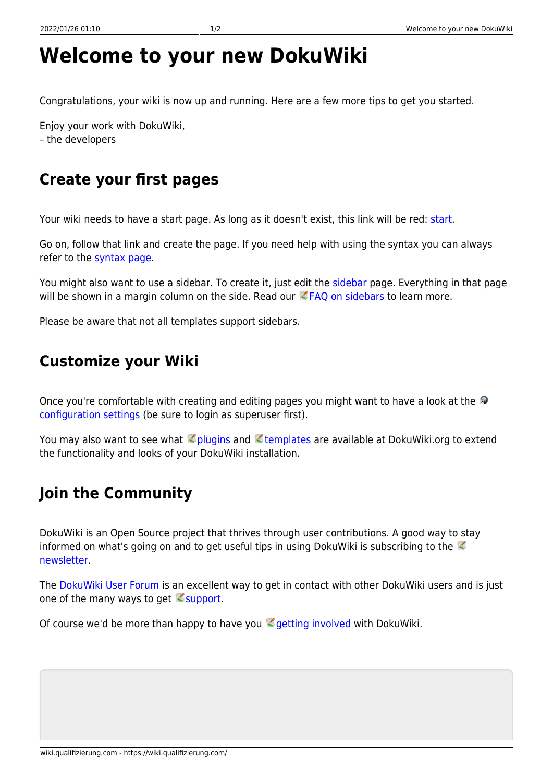## **Welcome to your new DokuWiki**

Congratulations, your wiki is now up and running. Here are a few more tips to get you started.

Enjoy your work with DokuWiki, – the developers

## **Create your first pages**

Your wiki needs to have a start page. As long as it doesn't exist, this link will be red: [start.](https://wiki.qualifizierung.com/doku.php/start)

Go on, follow that link and create the page. If you need help with using the syntax you can always refer to the [syntax page.](https://wiki.qualifizierung.com/doku.php/wiki:syntax)

You might also want to use a sidebar. To create it, just edit the [sidebar](https://wiki.qualifizierung.com/doku.php/sidebar) page. Everything in that page will be shown in a margin column on the side. Read our  $EFAQ$  on sidebars to learn more.

Please be aware that not all templates support sidebars.

## **Customize your Wiki**

Onceyou're comfortable with creating and editing pages you might want to have a look at the [configuration settings](https://wiki.qualifizierung.com/doku.php?do=admin&page=config) (be sure to login as superuser first).

You may also want to see what **plugins and Etemplates are available at DokuWiki.org to extend** the functionality and looks of your DokuWiki installation.

## **Join the Community**

DokuWiki is an Open Source project that thrives through user contributions. A good way to stay informedon what's going on and to get useful tips in using DokuWiki is subscribing to the  $\mathbb Z$ [newsletter.](https://www.dokuwiki.org/newsletter)

The [DokuWiki User Forum](https://forum.dokuwiki.org) is an excellent way to get in contact with other DokuWiki users and is just one of the many ways to get  $\leq$  [support.](https://www.dokuwiki.org/faq%3Asupport)

Of course we'd be more than happy to have you  $\leq$  [getting involved](https://www.dokuwiki.org/teams%3Agetting_involved) with DokuWiki.